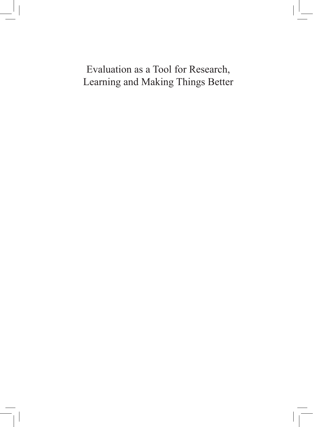Evaluation as a Tool for Research, Learning and Making Things Better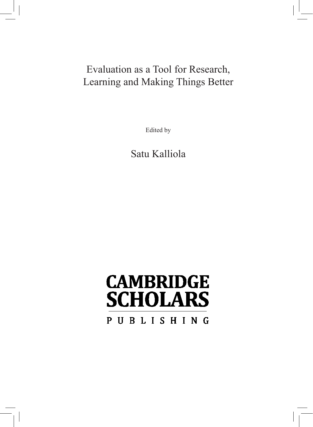## Evaluation as a Tool for Research, Learning and Making Things Better

Edited by

Satu Kalliola

# **CAMBRIDGE SCHOLARS** PUBLISHING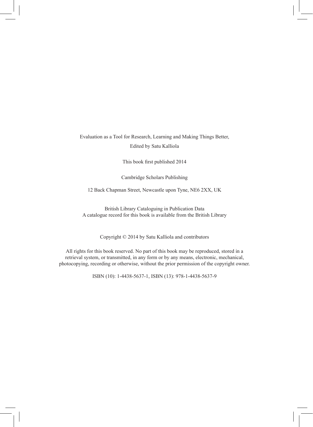Evaluation as a Tool for Research, Learning and Making Things Better, Edited by Satu Kalliola

This book first published 2014

Cambridge Scholars Publishing

12 Back Chapman Street, Newcastle upon Tyne, NE6 2XX, UK

British Library Cataloguing in Publication Data A catalogue record for this book is available from the British Library

Copyright © 2014 by Satu Kalliola and contributors

All rights for this book reserved. No part of this book may be reproduced, stored in a retrieval system, or transmitted, in any form or by any means, electronic, mechanical, photocopying, recording or otherwise, without the prior permission of the copyright owner.

ISBN (10): 1-4438-5637-1, ISBN (13): 978-1-4438-5637-9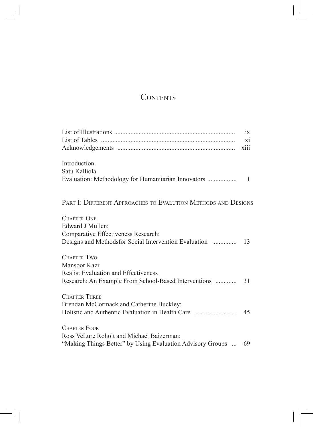### **CONTENTS**

|                                                                | $\overline{1}X$ |
|----------------------------------------------------------------|-----------------|
|                                                                | xi              |
|                                                                | X111            |
| Introduction                                                   |                 |
| Satu Kalliola                                                  |                 |
|                                                                |                 |
| PART I: DIFFERENT APPROACHES TO EVALUTION METHODS AND DESIGNS  |                 |
| <b>CHAPTER ONE</b>                                             |                 |
| Edward J Mullen <sup>.</sup>                                   |                 |
| Comparative Effectiveness Research:                            |                 |
| Designs and Methodsfor Social Intervention Evaluation          | - 13            |
| <b>CHAPTER TWO</b>                                             |                 |
| Mansoor Kazi:                                                  |                 |
| <b>Realist Evaluation and Effectiveness</b>                    |                 |
|                                                                |                 |
| <b>CHAPTER THREE</b>                                           |                 |
| Brendan McCormack and Catherine Buckley:                       |                 |
|                                                                | -45             |
| <b>CHAPTER FOUR</b>                                            |                 |
| Ross VeLure Roholt and Michael Baizerman:                      |                 |
| "Making Things Better" by Using Evaluation Advisory Groups  69 |                 |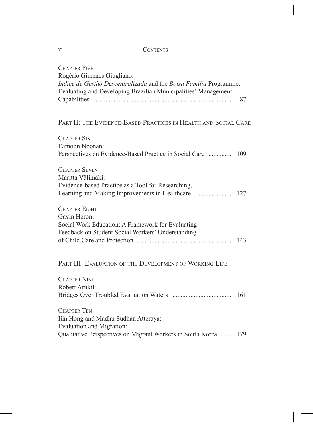#### **CONTENTS**

| <b>CHAPTER FIVE</b>                                                                             |     |
|-------------------------------------------------------------------------------------------------|-----|
| Rogério Gimenes Giugliano:<br>Índice de Gestão Descentralizada and the Bolsa Familia Programme: |     |
| Evaluating and Developing Brazilian Municipalities' Management                                  |     |
|                                                                                                 | 87  |
|                                                                                                 |     |
| PART II: THE EVIDENCE-BASED PRACTICES IN HEALTH AND SOCIAL CARE                                 |     |
| <b>CHAPTER SIX</b>                                                                              |     |
| Eamonn Noonan:                                                                                  |     |
| Perspectives on Evidence-Based Practice in Social Care  109                                     |     |
| <b>CHAPTER SEVEN</b>                                                                            |     |
| Maritta Välimäki:                                                                               |     |
| Evidence-based Practice as a Tool for Researching,                                              |     |
|                                                                                                 |     |
| <b>CHAPTER EIGHT</b>                                                                            |     |
| Gavin Heron:                                                                                    |     |
| Social Work Education: A Framework for Evaluating                                               |     |
| Feedback on Student Social Workers' Understanding                                               | 143 |
|                                                                                                 |     |
| PART III: EVALUATION OF THE DEVELOPMENT OF WORKING LIFE                                         |     |
|                                                                                                 |     |
| <b>CHAPTER NINE</b>                                                                             |     |
| Robert Arnkil:                                                                                  |     |
|                                                                                                 | 161 |
| <b>CHAPTER TEN</b>                                                                              |     |
| Ijin Hong and Madhu Sudhan Atteraya:                                                            |     |
| <b>Evaluation and Migration:</b>                                                                |     |
| Qualitative Perspectives on Migrant Workers in South Korea  179                                 |     |

vi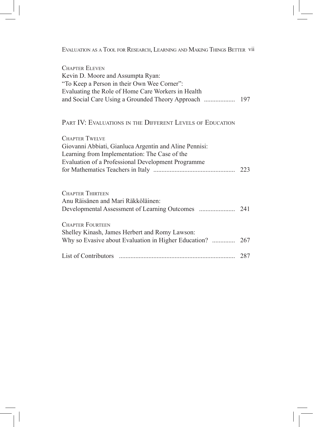Evaluation as a Tool for Research, Learning and Making Things Better vii

| <b>CHAPTER ELEVEN</b>                              |  |
|----------------------------------------------------|--|
| Kevin D. Moore and Assumpta Ryan:                  |  |
| "To Keep a Person in their Own Wee Corner":        |  |
| Evaluating the Role of Home Care Workers in Health |  |
|                                                    |  |
|                                                    |  |

#### PART IV: EVALUATIONS IN THE DIFFERENT LEVELS OF EDUCATION

| <b>CHAPTER TWELVE</b>                                  |     |
|--------------------------------------------------------|-----|
| Giovanni Abbiati, Gianluca Argentin and Aline Pennisi: |     |
| Learning from Implementation: The Case of the          |     |
| Evaluation of a Professional Development Programme     |     |
|                                                        | 223 |
| <b>CHAPTER THIRTEEN</b>                                |     |
| Anu Räisänen and Mari Räkköläinen:                     |     |
|                                                        |     |
| <b>CHAPTER FOURTEEN</b>                                |     |
| Shelley Kinash, James Herbert and Romy Lawson:         |     |
|                                                        |     |
|                                                        | 287 |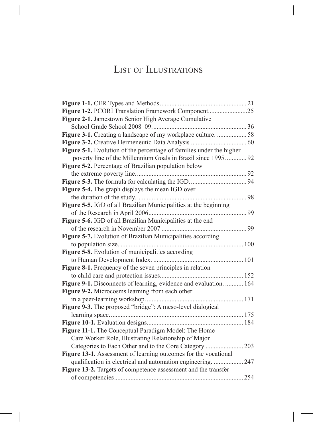## List of Illustrations

| Figure 1-2. PCORI Translation Framework Component25                  |     |
|----------------------------------------------------------------------|-----|
| Figure 2-1. Jamestown Senior High Average Cumulative                 |     |
|                                                                      |     |
| Figure 3-1. Creating a landscape of my workplace culture. 58         |     |
|                                                                      |     |
| Figure 5-1. Evolution of the percentage of families under the higher |     |
| poverty line of the Millennium Goals in Brazil since 1995 92         |     |
| Figure 5-2. Percentage of Brazilian population below                 |     |
|                                                                      |     |
|                                                                      |     |
| Figure 5-4. The graph displays the mean IGD over                     |     |
|                                                                      | 98  |
| Figure 5-5. IGD of all Brazilian Municipalities at the beginning     |     |
|                                                                      |     |
| Figure 5-6. IGD of all Brazilian Municipalities at the end           |     |
|                                                                      | 99  |
| Figure 5-7. Evolution of Brazilian Municipalities according          |     |
|                                                                      |     |
| Figure 5-8. Evolution of municipalities according                    |     |
|                                                                      |     |
| Figure 8-1. Frequency of the seven principles in relation            |     |
|                                                                      |     |
| Figure 9-1. Disconnects of learning, evidence and evaluation.  164   |     |
| Figure 9-2. Microcosms learning from each other                      |     |
| . 171                                                                |     |
| Figure 9-3. The proposed "bridge": A meso-level dialogical           |     |
|                                                                      |     |
|                                                                      |     |
| Figure 11-1. The Conceptual Paradigm Model: The Home                 |     |
| Care Worker Role, Illustrating Relationship of Major                 |     |
|                                                                      | 203 |
| Figure 13-1. Assessment of learning outcomes for the vocational      |     |
| qualification in electrical and automation engineering.  247         |     |
| Figure 13-2. Targets of competence assessment and the transfer       |     |
|                                                                      | 254 |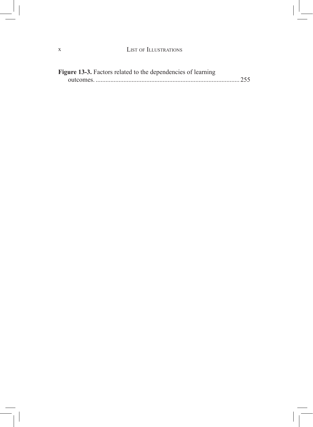| <b>Figure 13-3.</b> Factors related to the dependencies of learning |  |
|---------------------------------------------------------------------|--|
|                                                                     |  |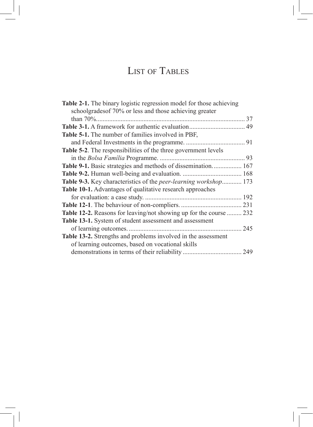## List of Tables

| schoolgrades of 70% or less and those achieving greater<br><b>Table 5-1.</b> The number of families involved in PBF,<br><b>Table 5-2.</b> The responsibilities of the three government levels<br>Table 9-1. Basic strategies and methods of dissemination 167<br>Table 9-3. Key characteristics of the <i>peer-learning workshop</i> 173<br><b>Table 10-1.</b> Advantages of qualitative research approaches |
|--------------------------------------------------------------------------------------------------------------------------------------------------------------------------------------------------------------------------------------------------------------------------------------------------------------------------------------------------------------------------------------------------------------|
|                                                                                                                                                                                                                                                                                                                                                                                                              |
|                                                                                                                                                                                                                                                                                                                                                                                                              |
|                                                                                                                                                                                                                                                                                                                                                                                                              |
|                                                                                                                                                                                                                                                                                                                                                                                                              |
|                                                                                                                                                                                                                                                                                                                                                                                                              |
|                                                                                                                                                                                                                                                                                                                                                                                                              |
|                                                                                                                                                                                                                                                                                                                                                                                                              |
|                                                                                                                                                                                                                                                                                                                                                                                                              |
|                                                                                                                                                                                                                                                                                                                                                                                                              |
|                                                                                                                                                                                                                                                                                                                                                                                                              |
|                                                                                                                                                                                                                                                                                                                                                                                                              |
|                                                                                                                                                                                                                                                                                                                                                                                                              |
|                                                                                                                                                                                                                                                                                                                                                                                                              |
| <b>Table 12-2.</b> Reasons for leaving/not showing up for the course  232                                                                                                                                                                                                                                                                                                                                    |
| Table 13-1. System of student assessment and assessment                                                                                                                                                                                                                                                                                                                                                      |
|                                                                                                                                                                                                                                                                                                                                                                                                              |
| Table 13-2. Strengths and problems involved in the assessment                                                                                                                                                                                                                                                                                                                                                |
| of learning outcomes, based on vocational skills                                                                                                                                                                                                                                                                                                                                                             |
|                                                                                                                                                                                                                                                                                                                                                                                                              |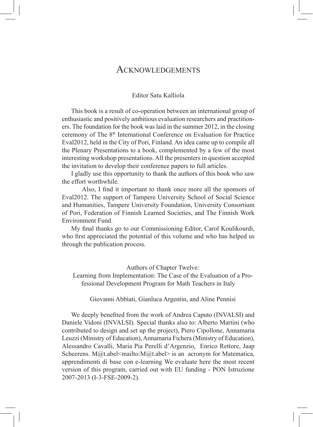### Acknowledgements

#### Editor Satu Kalliola

This book is a result of co-operation between an international group of enthusiastic and positively ambitious evaluation researchers and practitioners. The foundation for the book was laid in the summer 2012, in the closing ceremony of The 8<sup>th</sup> International Conference on Evaluation for Practice Eval2012, held in the City of Pori, Finland. An idea came up to compile all the Plenary Presentations to a book, complemented by a few of the most interesting workshop presentations. All the presenters in question accepted the invitation to develop their conference papers to full articles.

I gladly use this opportunity to thank the authors of this book who saw the effort worthwhile.

 Also, I find it important to thank once more all the sponsors of Eval2012. The support of Tampere University School of Social Science and Humanities, Tampere University Foundation, University Consortium of Pori, Federation of Finnish Learned Societies, and The Finnish Work Environment Fund.

My final thanks go to our Commissioning Editor, Carol Koulikourdi, who first appreciated the potential of this volume and who has helped us through the publication process.

Authors of Chapter Twelve:

Learning from Implementation: The Case of the Evaluation of a Professional Development Program for Math Teachers in Italy

Giovanni Abbiati, Gianluca Argentin, and Aline Pennisi

We deeply benefited from the work of Andrea Caputo (INVALSI) and Daniele Vidoni (INVALSI). Special thanks also to: Alberto Martini (who contributed to design and set up the project), Piero Cipollone, Annamaria Leuzzi (Ministry of Education), Annamaria Fichera (Ministry of Education), Alessandro Cavalli, Maria Pia Perelli d'Argenzio, Enrico Rettore, Jaap Scheerens. M@t.abel<mailto:M@t.abel> is an acronym for Matematica, apprendimenti di base con e-learning We evaluate here the most recent version of this program, carried out with EU funding - PON Istruzione 2007-2013 (I-3-FSE-2009-2).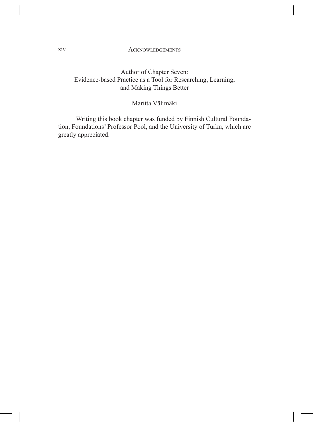#### Acknowledgements

#### Author of Chapter Seven: Evidence-based Practice as a Tool for Researching, Learning, and Making Things Better

#### Maritta Välimäki

 Writing this book chapter was funded by Finnish Cultural Foundation, Foundations' Professor Pool, and the University of Turku, which are greatly appreciated.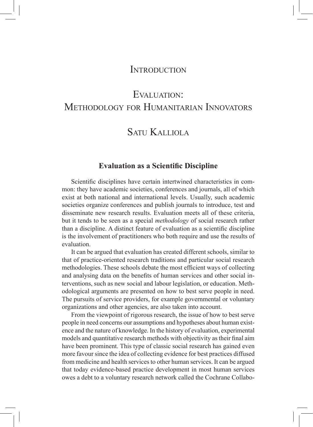### **INTRODUCTION**

## EVALUATION: Methodology for Humanitarian Innovators

### Satu Kalliola

#### **Evaluation as a Scientific Discipline**

Scientific disciplines have certain intertwined characteristics in common: they have academic societies, conferences and journals, all of which exist at both national and international levels. Usually, such academic societies organize conferences and publish journals to introduce, test and disseminate new research results. Evaluation meets all of these criteria, but it tends to be seen as a special *methodology* of social research rather than a discipline. A distinct feature of evaluation as a scientific discipline is the involvement of practitioners who both require and use the results of evaluation.

It can be argued that evaluation has created different schools, similar to that of practice-oriented research traditions and particular social research methodologies. These schools debate the most efficient ways of collecting and analysing data on the benefits of human services and other social interventions, such as new social and labour legislation, or education. Methodological arguments are presented on how to best serve people in need. The pursuits of service providers, for example governmental or voluntary organizations and other agencies, are also taken into account.

From the viewpoint of rigorous research, the issue of how to best serve people in need concerns our assumptions and hypotheses about human existence and the nature of knowledge. In the history of evaluation, experimental models and quantitative research methods with objectivity as their final aim have been prominent. This type of classic social research has gained even more favour since the idea of collecting evidence for best practices diffused from medicine and health services to other human services. It can be argued that today evidence-based practice development in most human services owes a debt to a voluntary research network called the Cochrane Collabo-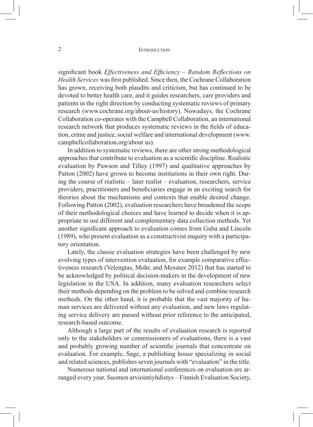#### 2 INTRODUCTION

significant book *Effectiveness and Efficiency – Random Reflections on Health Services* was first published. Since then, the Cochrane Collaboration has grown, receiving both plaudits and criticism, but has continued to be devoted to better health care, and it guides researchers, care providers and patients in the right direction by conducting systematic reviews of primary research (www.cochrane.org/about-us/history). Nowadays, the Cochrane Collaboration co-operates with the Campbell Collaboration, an international research network that produces systematic reviews in the fields of education, crime and justice, social welfare and international development (www. campbellcollaboration.org/about us).

In addition to systematic reviews, there are other strong methodological approaches that contribute to evaluation as a scientific discipline. Realistic evaluation by Pawson and Tilley (1997) and qualitative approaches by Patton (2002) have grown to become institutions in their own right. During the course of realistic – later realist – evaluation, researchers, service providers, practitioners and beneficiaries engage in an exciting search for theories about the mechanisms and contexts that enable desired change. Following Patton (2002), evaluation researchers have broadened the scope of their methodological choices and have learned to decide when it is appropriate to use different and complementary data collection methods. Yet another significant approach to evaluation comes from Guba and Lincoln (1989), who present evaluation as a constructivist enquiry with a participatory orientation.

Lately, the classic evaluation strategies have been challenged by new evolving types of intervention evaluation, for example comparative effectiveness research (Velengtas, Mohr, and Messner 2012) that has started to be acknowledged by political decision-makers in the development of new legislation in the USA. In addition, many evaluation researchers select their methods depending on the problem to be solved and combine research methods. On the other hand, it is probable that the vast majority of human services are delivered without any evaluation, and new laws regulating service delivery are passed without prior reference to the anticipated, research-based outcome.

Although a large part of the results of evaluation research is reported only to the stakeholders or commissioners of evaluations, there is a vast and probably growing number of scientific journals that concentrate on evaluation. For example, Sage, a publishing house specializing in social and related sciences, publishes seven journals with "evaluation" in the title.

Numerous national and international conferences on evaluation are arranged every year. Suomen arviointiyhdistys – Finnish Evaluation Society,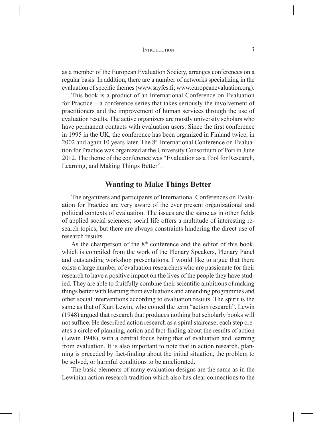as a member of the European Evaluation Society, arranges conferences on a regular basis. In addition, there are a number of networks specializing in the evaluation of specific themes (www.sayfes.fi; www.europeanevaluation.org).

This book is a product of an International Conference on Evaluation for Practice – a conference series that takes seriously the involvement of practitioners and the improvement of human services through the use of evaluation results. The active organizers are mostly university scholars who have permanent contacts with evaluation users. Since the first conference in 1995 in the UK, the conference has been organized in Finland twice, in 2002 and again 10 years later. The 8<sup>th</sup> International Conference on Evaluation for Practice was organized at the University Consortium of Pori in June 2012. The theme of the conference was "Evaluation as a Tool for Research, Learning, and Making Things Better".

#### **Wanting to Make Things Better**

The organizers and participants of International Conferences on Evaluation for Practice are very aware of the ever present organizational and political contexts of evaluation. The issues are the same as in other fields of applied social sciences; social life offers a multitude of interesting research topics, but there are always constraints hindering the direct use of research results.

As the chairperson of the  $8<sup>th</sup>$  conference and the editor of this book, which is compiled from the work of the Plenary Speakers, Plenary Panel and outstanding workshop presentations, I would like to argue that there exists a large number of evaluation researchers who are passionate for their research to have a positive impact on the lives of the people they have studied. They are able to fruitfully combine their scientific ambitions of making things better with learning from evaluations and amending programmes and other social interventions according to evaluation results. The spirit is the same as that of Kurt Lewin, who coined the term "action research". Lewin (1948) argued that research that produces nothing but scholarly books will not suffice. He described action research as a spiral staircase; each step creates a circle of planning, action and fact-finding about the results of action (Lewin 1948), with a central focus being that of evaluation and learning from evaluation. It is also important to note that in action research, planning is preceded by fact-finding about the initial situation, the problem to be solved, or harmful conditions to be ameliorated.

The basic elements of many evaluation designs are the same as in the Lewinian action research tradition which also has clear connections to the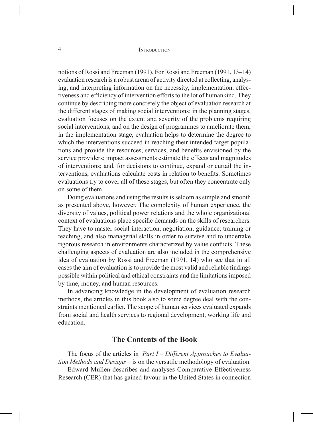notions of Rossi and Freeman (1991). For Rossi and Freeman (1991, 13–14) evaluation research is a robust arena of activity directed at collecting, analysing, and interpreting information on the necessity, implementation, effectiveness and efficiency of intervention efforts to the lot of humankind. They continue by describing more concretely the object of evaluation research at the different stages of making social interventions: in the planning stages, evaluation focuses on the extent and severity of the problems requiring social interventions, and on the design of programmes to ameliorate them; in the implementation stage, evaluation helps to determine the degree to which the interventions succeed in reaching their intended target populations and provide the resources, services, and benefits envisioned by the service providers; impact assessments estimate the effects and magnitudes of interventions; and, for decisions to continue, expand or curtail the interventions, evaluations calculate costs in relation to benefits. Sometimes evaluations try to cover all of these stages, but often they concentrate only on some of them.

Doing evaluations and using the results is seldom as simple and smooth as presented above, however. The complexity of human experience, the diversity of values, political power relations and the whole organizational context of evaluations place specific demands on the skills of researchers. They have to master social interaction, negotiation, guidance, training or teaching, and also managerial skills in order to survive and to undertake rigorous research in environments characterized by value conflicts. These challenging aspects of evaluation are also included in the comprehensive idea of evaluation by Rossi and Freeman (1991, 14) who see that in all cases the aim of evaluation is to provide the most valid and reliable findings possible within political and ethical constraints and the limitations imposed by time, money, and human resources.

In advancing knowledge in the development of evaluation research methods, the articles in this book also to some degree deal with the constraints mentioned earlier. The scope of human services evaluated expands from social and health services to regional development, working life and education.

#### **The Contents of the Book**

The focus of the articles in *Part I – Different Approaches to Evaluation Methods and Designs* – is on the versatile methodology of evaluation.

Edward Mullen describes and analyses Comparative Effectiveness Research (CER) that has gained favour in the United States in connection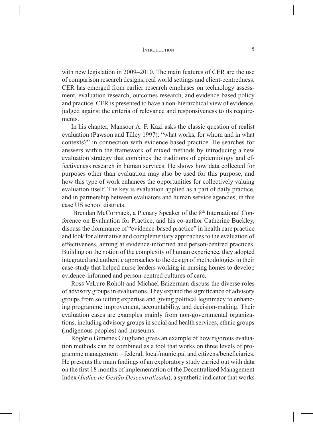#### INTRODUCTION 5

with new legislation in 2009–2010. The main features of CER are the use of comparison research designs, real world settings and client-centredness. CER has emerged from earlier research emphases on technology assessment, evaluation research, outcomes research, and evidence-based policy and practice. CER is presented to have a non-hierarchical view of evidence, judged against the criteria of relevance and responsiveness to its requirements.

In his chapter, Mansoor A. F. Kazi asks the classic question of realist evaluation (Pawson and Tilley 1997): "what works, for whom and in what contexts?" in connection with evidence-based practice. He searches for answers within the framework of mixed methods by introducing a new evaluation strategy that combines the traditions of epidemiology and effectiveness research in human services. He shows how data collected for purposes other than evaluation may also be used for this purpose, and how this type of work enhances the opportunities for collectively valuing evaluation itself. The key is evaluation applied as a part of daily practice, and in partnership between evaluators and human service agencies, in this case US school districts.

Brendan McCormack, a Plenary Speaker of the 8<sup>th</sup> International Conference on Evaluation for Practice, and his co-author Catherine Buckley, discuss the dominance of "evidence-based practice" in health care practice and look for alternative and complementary approaches to the evaluation of effectiveness, aiming at evidence-informed and person-centred practices. Building on the notion of the complexity of human experience, they adopted integrated and authentic approaches to the design of methodologies in their case-study that helped nurse leaders working in nursing homes to develop evidence-informed and person-centred cultures of care.

Ross VeLure Roholt and Michael Baizerman discuss the diverse roles of advisory groups in evaluations. They expand the significance of advisory groups from soliciting expertise and giving political legitimacy to enhancing programme improvement, accountability, and decision-making. Their evaluation cases are examples mainly from non-governmental organizations, including advisory groups in social and health services, ethnic groups (indigenous peoples) and museums.

Rogério Gimenes Giugliano gives an example of how rigorous evaluation methods can be combined as a tool that works on three levels of programme management – federal, local/municipal and citizens/beneficiaries. He presents the main findings of an exploratory study carried out with data on the first 18 months of implementation of the Decentralized Management Index (*Índice de Gestão Descentralizada*), a synthetic indicator that works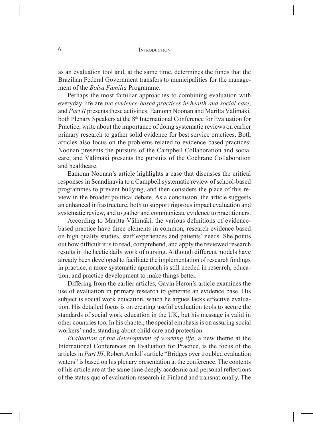as an evaluation tool and, at the same time, determines the funds that the Brazilian Federal Government transfers to municipalities for the management of the *Bolsa Família* Programme.

Perhaps the most familiar approaches to combining evaluation with everyday life are *the evidence-based practices in health and social care*, and *Part II* presents these activities. Eamonn Noonan and Maritta Välimäki, both Plenary Speakers at the 8<sup>th</sup> International Conference for Evaluation for Practice, write about the importance of doing systematic reviews on earlier primary research to gather solid evidence for best service practices. Both articles also focus on the problems related to evidence based practices: Noonan presents the pursuits of the Campbell Collaboration and social care; and Välimäki presents the pursuits of the Cochrane Collaboration and healthcare.

Eamonn Noonan's article highlights a case that discusses the critical responses in Scandinavia to a Campbell systematic review of school-based programmes to prevent bullying, and then considers the place of this review in the broader political debate. As a conclusion, the article suggests an enhanced infrastructure, both to support rigorous impact evaluation and systematic review, and to gather and communicate evidence to practitioners.

According to Maritta Välimäki, the various definitions of evidencebased practice have three elements in common, research evidence based on high quality studies, staff experiences and patients' needs. She points out how difficult it is to read, comprehend, and apply the reviewed research results in the hectic daily work of nursing. Although different models have already been developed to facilitate the implementation of research findings in practice, a more systematic approach is still needed in research, education, and practice development to make things better.

Differing from the earlier articles, Gavin Heron's article examines the use of evaluation in primary research to generate an evidence base. His subject is social work education, which he argues lacks effective evaluation. His detailed focus is on creating useful evaluation tools to secure the standards of social work education in the UK, but his message is valid in other countries too. In his chapter, the special emphasis is on assuring social workers' understanding about child care and protection.

*Evaluation of the development of working life*, a new theme at the International Conferences on Evaluation for Practice, is the focus of the articles in *Part III*. Robert Arnkil's article "Bridges over troubled evaluation waters" is based on his plenary presentation at the conference. The contents of his article are at the same time deeply academic and personal reflections of the status quo of evaluation research in Finland and transnationally. The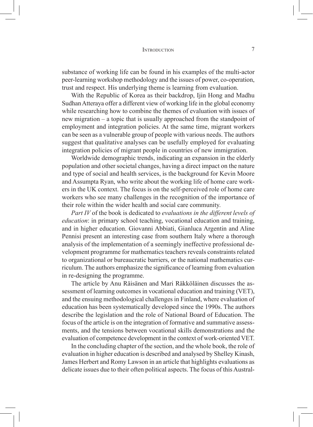#### INTRODUCTION 7

substance of working life can be found in his examples of the multi-actor peer-learning workshop methodology and the issues of power, co-operation, trust and respect. His underlying theme is learning from evaluation.

With the Republic of Korea as their backdrop, Ijin Hong and Madhu Sudhan Atteraya offer a different view of working life in the global economy while researching how to combine the themes of evaluation with issues of new migration – a topic that is usually approached from the standpoint of employment and integration policies. At the same time, migrant workers can be seen as a vulnerable group of people with various needs. The authors suggest that qualitative analyses can be usefully employed for evaluating integration policies of migrant people in countries of new immigration.

Worldwide demographic trends, indicating an expansion in the elderly population and other societal changes, having a direct impact on the nature and type of social and health services, is the background for Kevin Moore and Assumpta Ryan, who write about the working life of home care workers in the UK context. The focus is on the self-perceived role of home care workers who see many challenges in the recognition of the importance of their role within the wider health and social care community.

*Part IV* of the book is dedicated to *evaluations in the different levels of education*: in primary school teaching, vocational education and training, and in higher education. Giovanni Abbiati, Gianluca Argentin and Aline Pennisi present an interesting case from southern Italy where a thorough analysis of the implementation of a seemingly ineffective professional development programme for mathematics teachers reveals constraints related to organizational or bureaucratic barriers, or the national mathematics curriculum. The authors emphasize the significance of learning from evaluation in re-designing the programme.

The article by Anu Räisänen and Mari Räkköläinen discusses the assessment of learning outcomes in vocational education and training (VET), and the ensuing methodological challenges in Finland, where evaluation of education has been systematically developed since the 1990s. The authors describe the legislation and the role of National Board of Education. The focus of the article is on the integration of formative and summative assessments, and the tensions between vocational skills demonstrations and the evaluation of competence development in the context of work-oriented VET.

In the concluding chapter of the section, and the whole book, the role of evaluation in higher education is described and analysed by Shelley Kinash, James Herbert and Romy Lawson in an article that highlights evaluations as delicate issues due to their often political aspects. The focus of this Austral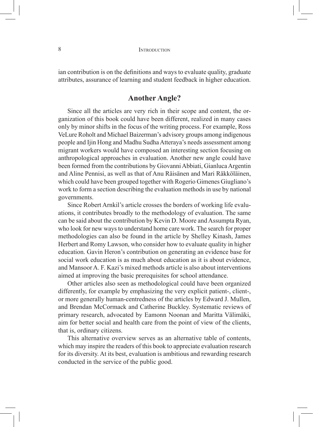ian contribution is on the definitions and ways to evaluate quality, graduate attributes, assurance of learning and student feedback in higher education.

#### **Another Angle?**

Since all the articles are very rich in their scope and content, the organization of this book could have been different, realized in many cases only by minor shifts in the focus of the writing process. For example, Ross VeLure Roholt and Michael Baizerman's advisory groups among indigenous people and Ijin Hong and Madhu Sudha Atteraya's needs assessment among migrant workers would have composed an interesting section focusing on anthropological approaches in evaluation. Another new angle could have been formed from the contributions by Giovanni Abbiati, Gianluca Argentin and Aline Pennisi, as well as that of Anu Räisänen and Mari Räkköläinen, which could have been grouped together with Rogerio Gimenes Giugliano's work to form a section describing the evaluation methods in use by national governments.

Since Robert Arnkil's article crosses the borders of working life evaluations, it contributes broadly to the methodology of evaluation. The same can be said about the contribution by Kevin D. Moore and Assumpta Ryan, who look for new ways to understand home care work. The search for proper methodologies can also be found in the article by Shelley Kinash, James Herbert and Romy Lawson, who consider how to evaluate quality in higher education. Gavin Heron's contribution on generating an evidence base for social work education is as much about education as it is about evidence, and Mansoor A. F. Kazi's mixed methods article is also about interventions aimed at improving the basic prerequisites for school attendance.

Other articles also seen as methodological could have been organized differently, for example by emphasizing the very explicit patient-, client-, or more generally human-centredness of the articles by Edward J. Mullen, and Brendan McCormack and Catherine Buckley. Systematic reviews of primary research, advocated by Eamonn Noonan and Maritta Välimäki, aim for better social and health care from the point of view of the clients, that is, ordinary citizens.

This alternative overview serves as an alternative table of contents, which may inspire the readers of this book to appreciate evaluation research for its diversity. At its best, evaluation is ambitious and rewarding research conducted in the service of the public good.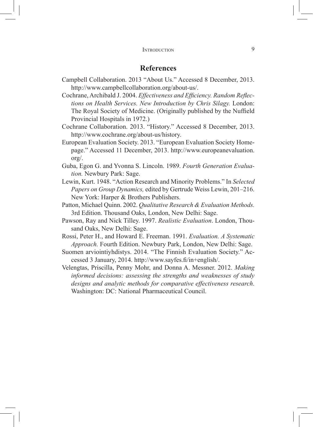#### **References**

- Campbell Collaboration. 2013 "About Us." Accessed 8 December, 2013. http://www.campbellcollaboration.org/about-us/.
- Cochrane, Archibald J. 2004. *Effectiveness and Efficiency. Random Reflections on Health Services. New Introduction by Chris Silagy.* London: The Royal Society of Medicine. (Originally published by the Nuffield Provincial Hospitals in 1972.)
- Cochrane Collaboration. 2013. "History." Accessed 8 December, 2013. http://www.cochrane.org/about-us/history.
- European Evaluation Society. 2013. "European Evaluation Society Homepage." Accessed 11 December, 2013. http://www.europeanevaluation. org/.
- Guba, Egon G. and Yvonna S. Lincoln. 1989. *Fourth Generation Evaluation.* Newbury Park: Sage.
- Lewin, Kurt. 1948. "Action Research and Minority Problems." In *Selected Papers on Group Dynamics,* edited by Gertrude Weiss Lewin, 201–216. New York: Harper & Brothers Publishers.
- Patton, Michael Quinn. 2002. *Qualitative Research & Evaluation Methods.* 3rd Edition. Thousand Oaks, London, New Delhi: Sage.
- Pawson, Ray and Nick Tilley. 1997. *Realistic Evaluation*. London, Thousand Oaks, New Delhi: Sage.
- Rossi, Peter H., and Howard E. Freeman. 1991. *Evaluation. A Systematic Approach.* Fourth Edition. Newbury Park, London, New Delhi: Sage.
- Suomen arviointiyhdistys. 2014. "The Finnish Evaluation Society." Accessed 3 January, 2014. http://www.sayfes.fi/in+english/.
- Velengtas, Priscilla, Penny Mohr, and Donna A. Messner. 2012. *Making informed decisions: assessing the strengths and weaknesses of study designs and analytic methods for comparative effectiveness research*. Washington: DC: National Pharmaceutical Council.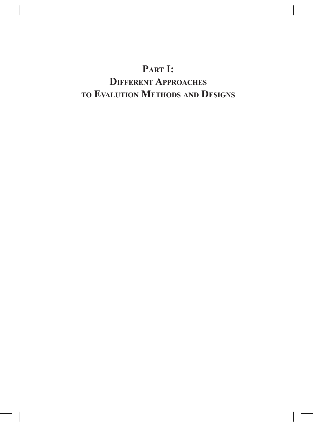## **Part I:**

## **Different Approaches to Evalution Methods and Designs**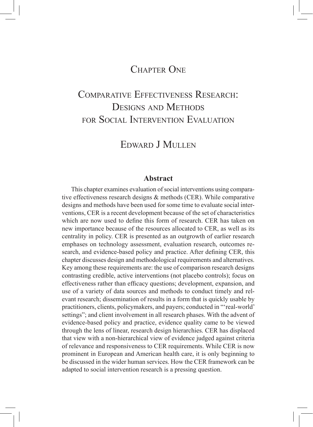### CHAPTER ONE

## Comparative Effectiveness Research: DESIGNS AND METHODS for Social Intervention Evaluation

### EDWARD J MULLEN

#### **Abstract**

This chapter examines evaluation of social interventions using comparative effectiveness research designs & methods (CER). While comparative designs and methods have been used for some time to evaluate social interventions, CER is a recent development because of the set of characteristics which are now used to define this form of research. CER has taken on new importance because of the resources allocated to CER, as well as its centrality in policy. CER is presented as an outgrowth of earlier research emphases on technology assessment, evaluation research, outcomes research, and evidence-based policy and practice. After defining CER, this chapter discusses design and methodological requirements and alternatives. Key among these requirements are: the use of comparison research designs contrasting credible, active interventions (not placebo controls); focus on effectiveness rather than efficacy questions; development, expansion, and use of a variety of data sources and methods to conduct timely and relevant research; dissemination of results in a form that is quickly usable by practitioners, clients, policymakers, and payers; conducted in "'real-world' settings"; and client involvement in all research phases. With the advent of evidence-based policy and practice, evidence quality came to be viewed through the lens of linear, research design hierarchies. CER has displaced that view with a non-hierarchical view of evidence judged against criteria of relevance and responsiveness to CER requirements. While CER is now prominent in European and American health care, it is only beginning to be discussed in the wider human services. How the CER framework can be adapted to social intervention research is a pressing question.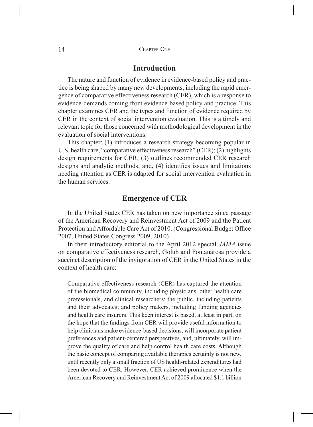#### 14 CHAPTER ONE

#### **Introduction**

The nature and function of evidence in evidence-based policy and practice is being shaped by many new developments, including the rapid emergence of comparative effectiveness research (CER), which is a response to evidence-demands coming from evidence-based policy and practice. This chapter examines CER and the types and function of evidence required by CER in the context of social intervention evaluation. This is a timely and relevant topic for those concerned with methodological development in the evaluation of social interventions.

This chapter: (1) introduces a research strategy becoming popular in U.S. health care, "comparative effectiveness research" (CER); (2) highlights design requirements for CER; (3) outlines recommended CER research designs and analytic methods; and, (4) identifies issues and limitations needing attention as CER is adapted for social intervention evaluation in the human services.

#### **Emergence of CER**

In the United States CER has taken on new importance since passage of the American Recovery and Reinvestment Act of 2009 and the Patient Protection and Affordable Care Act of 2010. (Congressional Budget Office 2007, United States Congress 2009, 2010)

In their introductory editorial to the April 2012 special *JAMA* issue on comparative effectiveness research, Golub and Fontanarosa provide a succinct description of the invigoration of CER in the United States in the context of health care:

Comparative effectiveness research (CER) has captured the attention of the biomedical community, including physicians, other health care professionals, and clinical researchers; the public, including patients and their advocates; and policy makers, including funding agencies and health care insurers. This keen interest is based, at least in part, on the hope that the findings from CER will provide useful information to help clinicians make evidence-based decisions, will incorporate patient preferences and patient-centered perspectives, and, ultimately, will improve the quality of care and help control health care costs. Although the basic concept of comparing available therapies certainly is not new, until recently only a small fraction of US health-related expenditures had been devoted to CER. However, CER achieved prominence when the American Recovery and Reinvestment Act of 2009 allocated \$1.1 billion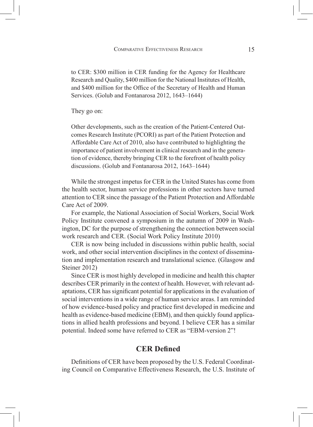to CER: \$300 million in CER funding for the Agency for Healthcare Research and Quality, \$400 million for the National Institutes of Health, and \$400 million for the Office of the Secretary of Health and Human Services. (Golub and Fontanarosa 2012, 1643–1644)

They go on:

Other developments, such as the creation of the Patient-Centered Outcomes Research Institute (PCORI) as part of the Patient Protection and Affordable Care Act of 2010, also have contributed to highlighting the importance of patient involvement in clinical research and in the generation of evidence, thereby bringing CER to the forefront of health policy discussions. (Golub and Fontanarosa 2012, 1643–1644)

While the strongest impetus for CER in the United States has come from the health sector, human service professions in other sectors have turned attention to CER since the passage of the Patient Protection and Affordable Care Act of 2009.

For example, the National Association of Social Workers, Social Work Policy Institute convened a symposium in the autumn of 2009 in Washington, DC for the purpose of strengthening the connection between social work research and CER. (Social Work Policy Institute 2010)

CER is now being included in discussions within public health, social work, and other social intervention disciplines in the context of dissemination and implementation research and translational science. (Glasgow and Steiner 2012)

Since CER is most highly developed in medicine and health this chapter describes CER primarily in the context of health. However, with relevant adaptations, CER has significant potential for applications in the evaluation of social interventions in a wide range of human service areas. I am reminded of how evidence-based policy and practice first developed in medicine and health as evidence-based medicine (EBM), and then quickly found applications in allied health professions and beyond. I believe CER has a similar potential. Indeed some have referred to CER as "EBM-version 2"!

#### **CER Defined**

Definitions of CER have been proposed by the U.S. Federal Coordinating Council on Comparative Effectiveness Research, the U.S. Institute of